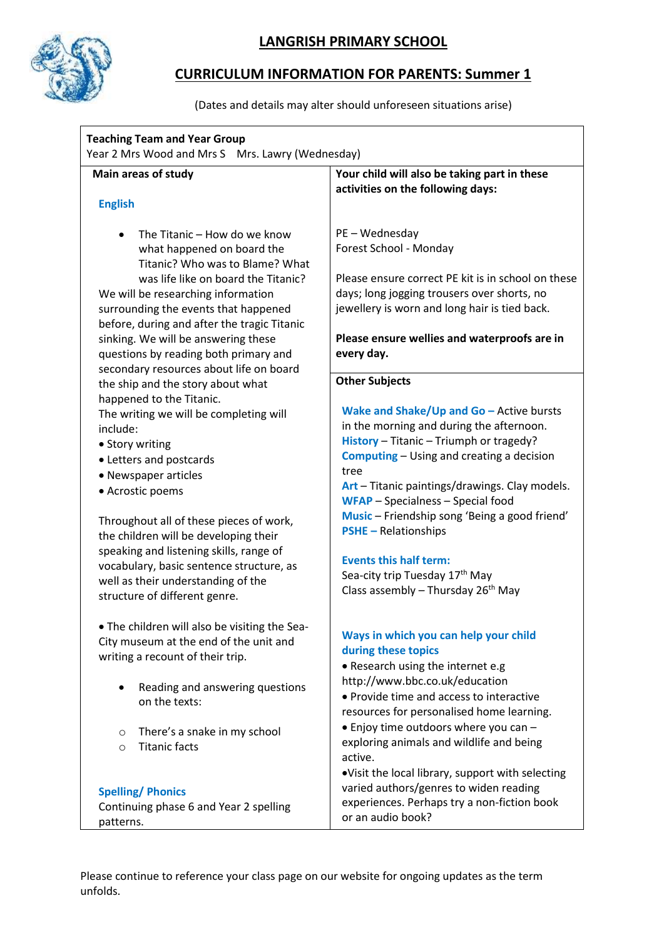

# **LANGRISH PRIMARY SCHOOL**

# **CURRICULUM INFORMATION FOR PARENTS: Summer 1**

(Dates and details may alter should unforeseen situations arise)

| <b>Teaching Team and Year Group</b><br>Year 2 Mrs Wood and Mrs S Mrs. Lawry (Wednesday)                                                                                                                                                                                                                                                                                                                                    |                                                                                                                                                                                                                                                                                                                                                                                                                                                                                                            |
|----------------------------------------------------------------------------------------------------------------------------------------------------------------------------------------------------------------------------------------------------------------------------------------------------------------------------------------------------------------------------------------------------------------------------|------------------------------------------------------------------------------------------------------------------------------------------------------------------------------------------------------------------------------------------------------------------------------------------------------------------------------------------------------------------------------------------------------------------------------------------------------------------------------------------------------------|
| Main areas of study                                                                                                                                                                                                                                                                                                                                                                                                        | Your child will also be taking part in these                                                                                                                                                                                                                                                                                                                                                                                                                                                               |
| <b>English</b>                                                                                                                                                                                                                                                                                                                                                                                                             | activities on the following days:                                                                                                                                                                                                                                                                                                                                                                                                                                                                          |
| The Titanic – How do we know<br>what happened on board the<br>Titanic? Who was to Blame? What<br>was life like on board the Titanic?<br>We will be researching information<br>surrounding the events that happened<br>before, during and after the tragic Titanic<br>sinking. We will be answering these<br>questions by reading both primary and<br>secondary resources about life on board                               | PE - Wednesday<br>Forest School - Monday<br>Please ensure correct PE kit is in school on these<br>days; long jogging trousers over shorts, no<br>jewellery is worn and long hair is tied back.<br>Please ensure wellies and waterproofs are in<br>every day.                                                                                                                                                                                                                                               |
| the ship and the story about what                                                                                                                                                                                                                                                                                                                                                                                          | <b>Other Subjects</b>                                                                                                                                                                                                                                                                                                                                                                                                                                                                                      |
| happened to the Titanic.<br>The writing we will be completing will<br>include:<br>• Story writing<br>• Letters and postcards<br>• Newspaper articles<br>• Acrostic poems<br>Throughout all of these pieces of work,<br>the children will be developing their<br>speaking and listening skills, range of<br>vocabulary, basic sentence structure, as<br>well as their understanding of the<br>structure of different genre. | Wake and Shake/Up and Go - Active bursts<br>in the morning and during the afternoon.<br>History - Titanic - Triumph or tragedy?<br><b>Computing</b> – Using and creating a decision<br>tree<br>Art - Titanic paintings/drawings. Clay models.<br><b>WFAP</b> - Specialness - Special food<br>Music - Friendship song 'Being a good friend'<br><b>PSHE</b> - Relationships<br><b>Events this half term:</b><br>Sea-city trip Tuesday 17 <sup>th</sup> May<br>Class assembly - Thursday 26 <sup>th</sup> May |
| . The children will also be visiting the Sea-<br>City museum at the end of the unit and<br>writing a recount of their trip.<br>Reading and answering questions<br>on the texts:<br>There's a snake in my school<br>$\circ$<br><b>Titanic facts</b><br>$\circ$                                                                                                                                                              | Ways in which you can help your child<br>during these topics<br>• Research using the internet e.g<br>http://www.bbc.co.uk/education<br>• Provide time and access to interactive<br>resources for personalised home learning.<br>• Enjoy time outdoors where you can -<br>exploring animals and wildlife and being<br>active.<br>.Visit the local library, support with selecting                                                                                                                           |
| <b>Spelling/Phonics</b><br>Continuing phase 6 and Year 2 spelling<br>patterns.                                                                                                                                                                                                                                                                                                                                             | varied authors/genres to widen reading<br>experiences. Perhaps try a non-fiction book<br>or an audio book?                                                                                                                                                                                                                                                                                                                                                                                                 |

Please continue to reference your class page on our website for ongoing updates as the term unfolds.